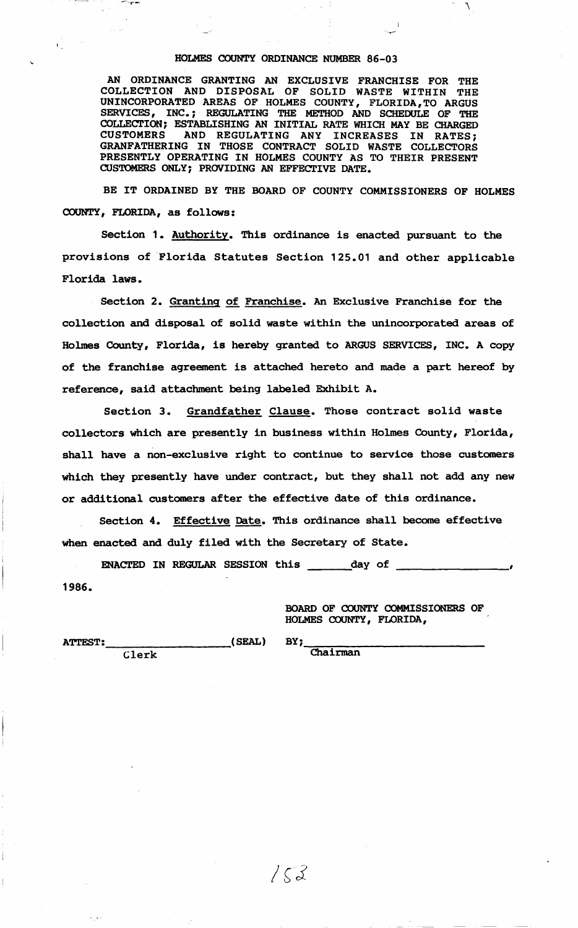#### **HOLMES COUNTY ORDINANCE NUMBER 86-03**

 $\cdot$   $\cdot$   $\cdot$ 

**AN ORDINANCE GRANTING AN EXCLUSIVE FRANCHISE FOR THE COLLECTION AND DISPOSAL OF** SOLID **WASTE WITHIN THE UNINCORPORATED AREAS OF HOLMES COUNTY, FLORIDA,TO ARGUS SERVICES, INC.** ; **REGULATING** THE METHOD AND SCHEDULE **OF THE**  COLLECTION; ESTABLISHING AN INITIAL RATE WHICH MAY BE CHARGED CUSTOMERS AND REGULATING ANY INCREASES IN RATES: **CUSTOMERS AND REGULATING ANY INCREASES IN RATES; GRANFATHERING IN THOSE CONTRACT** SOLID **WASTE COLLECTORS PRESENTLY OPERATING IN HOLMES COUNTY AS** TO THEIR **PRESENT CUSTOMERS ONLY; PROVIDING AN EFFECI'IVE** DATE.

**BE IT ORDAINED BY THE BOARD OF COUNTY COMMISSIONERS OF HOLMES COUNTY, FLORIDA, as follows:** 

Section 1. Authority. This ordinance is enacted pursuant to the provisions of Florida Statutes Section 125.01 and other applicable Florida **laws.** 

Section 2. Granting of Franchise. An Exclusive Franchise for the collection and disposal of solid waste within the unincorporated areas of Holmes County, Florida, is hereby granted to ARGUS SERVICES, INC. A copy of the franchise agreement is attached hereto and made a part hereof by reference, said attachment being labeled Exhibit A.

Section 3. Grandfather Clause. Those contract solid waste collectors which are presently in business within Holmes County, Florida, shall have a non-exclusive right to continue to service those customers which they presently have under contract, but they shall not add any new or additional customers after the effective date of this ordinance.

Section 4. Effective Date. This ordinance shall become effective when enacted and duly filed with the Secretary of State.

ENACTED IN REGULAR SESSION this \_\_\_\_\_ day of **1986.** 

> **BOARD OF COUNTY COMMISSIONERS OF HOLMES COUNTY, FLORIDA,**

**ATTEST: \_\_\_\_\_\_\_\_\_ (SEAL)**  Clerk

 $\vec{v}$ 

**BY;\_-,---,------------** Chairman

 $152$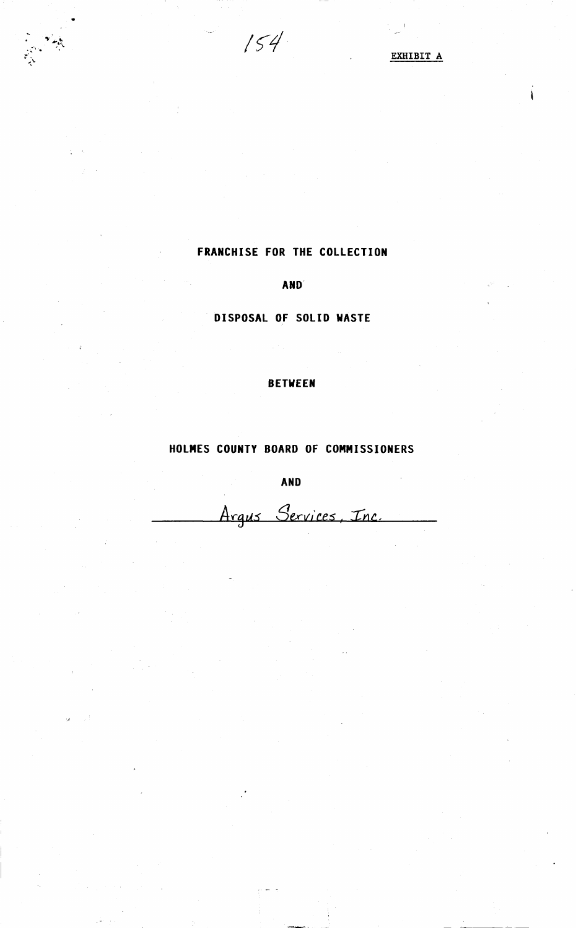$154$ 

•

高级

EXHIBIT A

 $\mathbf i$ 

# FRANCHISE FOR THE COLLECTION

AND

DISPOSAL OF SOLID WASTE

### BETWEEN

## HOLMES COUNTY BOARD OF COMMISSIONERS

AND

Argus Services, Inc.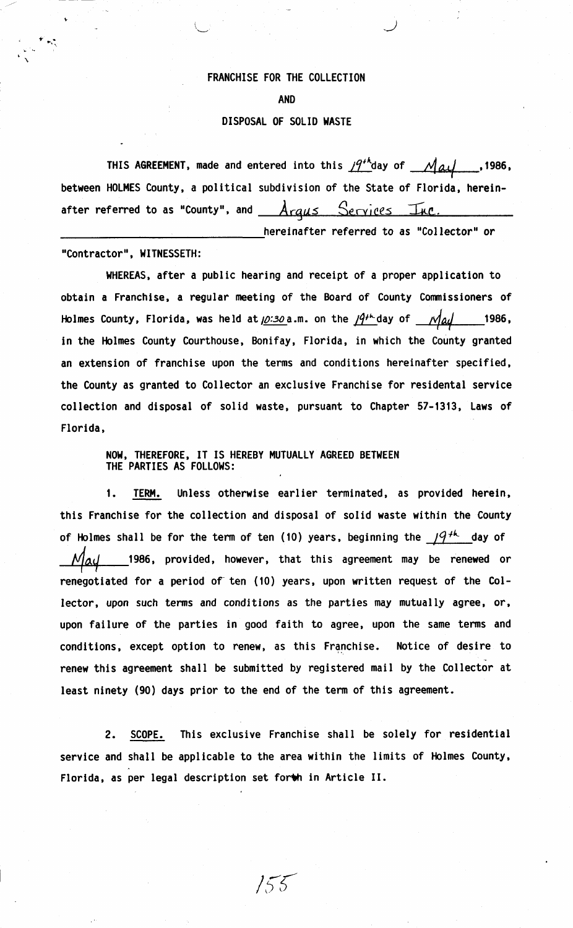#### FRANCHISE FOR THE COLLECTION

AND

### DISPOSAL OF SOLID **WASTE**

THIS AGREEMENT, made and entered into this  $19^{th}$ day of  $\mathcal{M}$ al...., 1986, between HOLMES County, a political subdivision of the State of Florida, hereinafter referred to as "County", and *Arqus Services* Inc.

hereinafter referred to as "Collector" or

"Contractor", **WITNESSETH:** 

WHEREAS, after a public hearing and receipt of a proper application to obtain a Franchise, a regular meeting of the Board of County Commissioners of Holmes County, Florida, was held at  $\mu$ :30 a.m. on the  $\mu$ <sup>2+1</sup> day of *144* 1986, in the Holmes County Courthouse, Bonifay, Florida, in which the County granted an extension of franchise upon the terms and conditions hereinafter specified, the County as granted to Collector an exclusive Franchise for residental service collection and disposal of solid waste, pursuant to Chapter 57-1313, **Laws** of Florida.

> **NOW,** THEREFORE, IT IS HEREBY MUTUALLY AGREED BETWEEN THE PARTIES AS FOLLOWS:

1. TERM. Unless otherwise earlier terminated, as provided herein, this Franchise for the collection and disposal of solid waste within the County of Holmes shall be for the term of ten (10) years, beginning the  $19^{+k}$  day of 1986, provided, however, that this agreement may be renewed or renegotiated for a period of ten (10) years, upon written request of the Collector, upon such terms and conditions as the parties may mutually agree, or, upon failure of the parties in good faith to agree, upon the same terms and conditions, except option to renew, as this Franchise. Notice of desire to renew this agreement shall be submitted by registered mail by the Collector at least ninety (90) days prior to the end of the term of this agreement.

2. SCOPE. This exclusive Franchise shall be solely for residential service and shall be applicable to the area within the limits of Holmes County, Florida, as per legal description set forth in Article II.

 $155$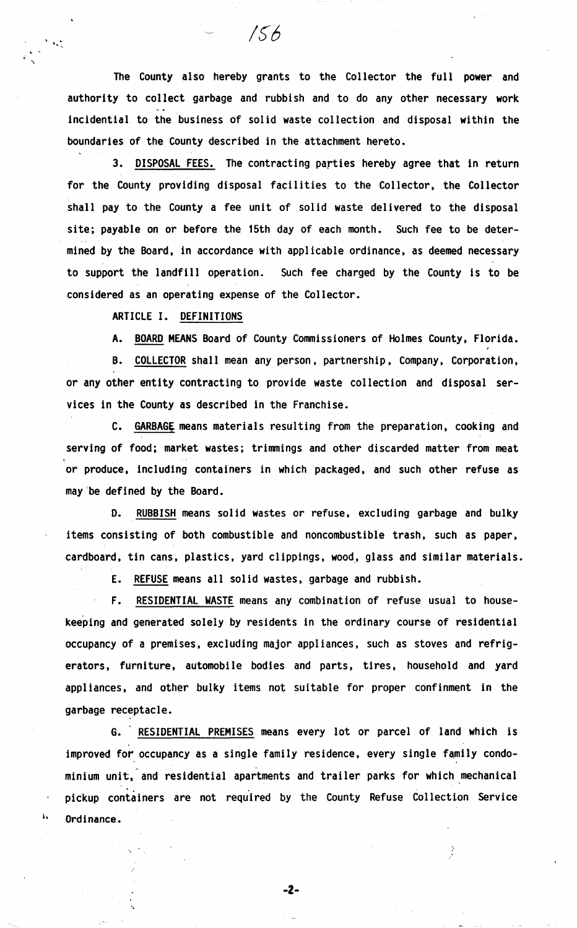The County also hereby grants to the Collector the full power and authority to collect garbage and rubbish and to do any other necessary work incidential to the business of solid waste collection and disposal within the boundaries of the County described in the attachment hereto.

 $/56$ 

3. DISPOSAL FEES. The contracting parties hereby agree that in return for the County providing disposal facilities to the Collector, the Collector shall pay to the County a fee unit of solid waste delivered to the disposal site; payable on or before the 15th day of each month. Such fee to be determined by the Board, in accordance with applicable ordinance, as deemed necessary to support the landfill operation. Such fee charged by the County is to be considered as an operating expense of the Collector.

ARTICLE I. DEFINITIONS

1

 $\mathcal{A}$ 

A. BOARD MEANS Board of County Commissioners of Holmes County, Florida.

B. COLLECTOR shall mean any person, partnership, Company, Corporation, or any other entity contracting to provide waste collection and disposal services in the County as described in the Franchise.

C. **GARBAGE** means materials resulting from the preparation, cooking and serving of food; market wastes; trimmings and other discarded matter from meat or produce, including containers in which packaged, and such other refuse as may'be defined by the Board.

D. RUBBISH means solid wastes or refuse, excluding garbage and bulky items consisting of both combustible and noncombustible trash, such as paper, cardboard, tin cans, plastics, yard clippings, wood, glass and similar materials.

E. REFUSE means all solid wastes, garbage and rubbish.

F. RESIDENTIAL WASTE means any combination of refuse usual to housekeeping and generated solely by residents in the ordinary course of residential occupancy of a premises, excluding major appliances, such as stoves and refrigerators. furniture, automobile bodies and parts. tires. household and yard appliances, and other bulky items not suitable for proper confinment in the garbage receptacle.

G. RESIDENTIAL PREMISES means every lot or parcel of land which is improved for occupancy as a single family residence, every single family condo minium unit, and residential apartments and trailer parks for which mechanical pickup containers are not required by the County Refuse Collection Service Ordinance.

-2-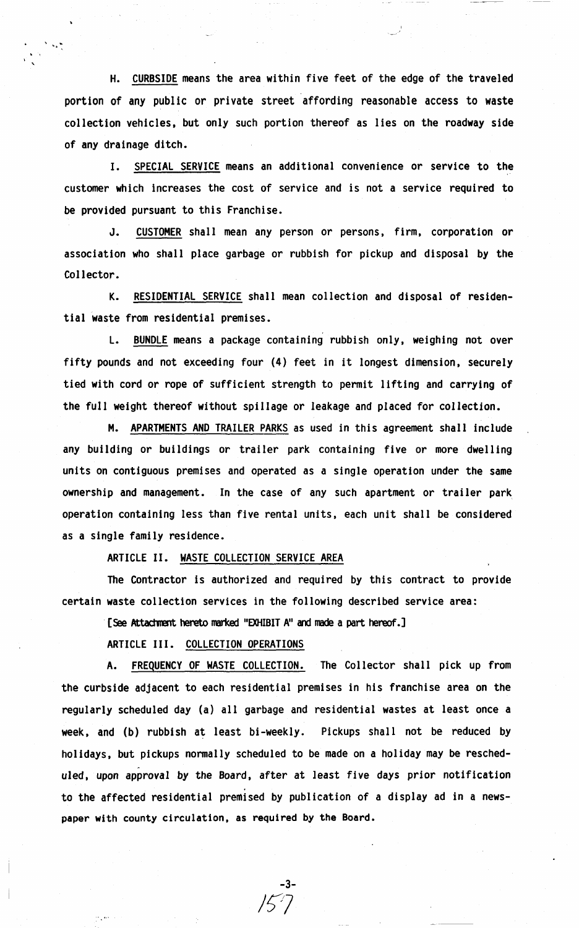H. CURBSIDE means the area within five feet of the edge of the traveled portion of any public or private street affording reasonable access to waste collection vehicles. but only such portion thereof as lies on the roadway side of any drainage ditch.

. ' '

> I. SPECIAL SERVICE means an additional convenience or service to the customer which increases the cost of service and is not a service required to be provided pursuant to this Franchise.

> J. CUSTOMER shall mean any person or persons, firm, corporation or association who shall place garbage or rubbish for pickup and disposal by the Collector.

> K. RESIDENTIAL SERVICE shall mean collection and disposal of residential waste from residential premises.

> L. BUNDLE means a package containing rubbish only, weighing not over fifty pounds and not exceeding four (4) feet in it longest dimension, securely tied with cord or rope of sufficient strength to permit lifting and carrying of the full weight thereof without spillage or leakage and placed for collection.

> M. APARTMENTS AND TRAILER PARKS as used in this agreement shall include any building or buildings or trailer park containing five or more dwelling units on contiguous premises and operated as a single operation under the same ownership and management. In the case of any such apartment or trailer park operation containing less than five rental units, each unit shall be considered **as a** single family residence.

ARTICLE II. WASTE COLLECTION SERVICE AREA

The Contractor is authorized and required by this contract to provide certain waste collection services in the following described service area:

[See Attachment hereto marked "EXHIBIT A" and made a part hereof.]

ARTICLE III. COLLECTION OPERATIONS

A. FREQUENCY OF WASTE COLLECTION. The Collector shall pick up from the curbside adjacent to each residential premises in his franchise area on the regularly scheduled day (a) all garbage and residential wastes at least once a week, and (b) rubbish at least bi-weekly. Pickups shall not be reduced by holidays, but pickups normally scheduled to be made on a holiday may be resched-<br>uled, upon approval by the Board, after at least five days prior notification to the affected residential premised by publication of a display ad in a newspaper with county circulation, as required by the Board.

-3-

*1~7*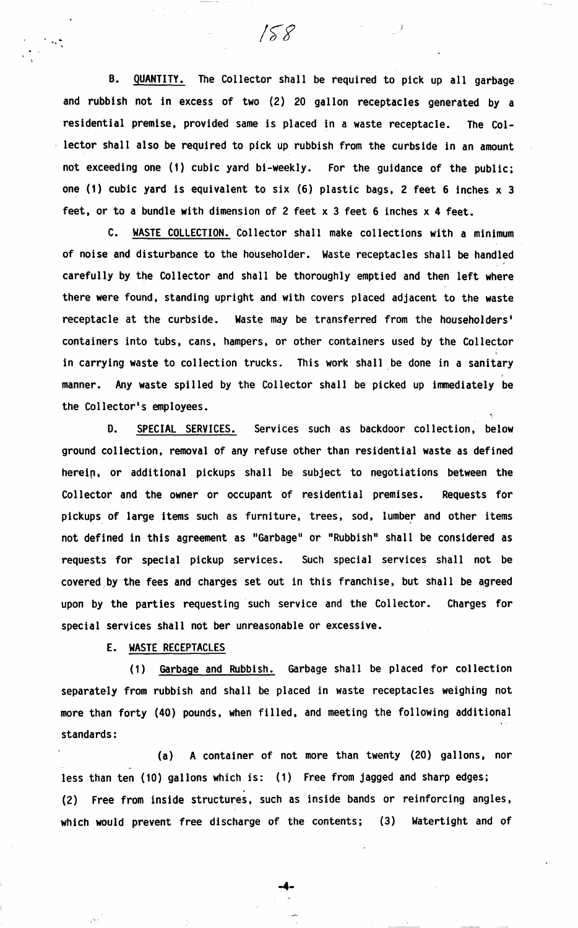B. QUANTITY. The Collector shall be required to pick up all garbage and rubbish not in excess of two (2) 20 gallon receptacles generated by a residential premise, provided same is placed in a waste receptacle. The Collector shall also be required to pick up rubbish from the curbside in an amount not exceeding one (1) cubic yard bi-weekly. For the guidance of the public; one (1) cubic yard is equivalent to six (6) plastic bags, 2 feet 6 inches x 3 feet, or to a bundle with dimension of 2 feet x 3 feet 6 inches x 4 feet.

 $158$ 

 $\mathbf{v}_k$  .

C. WASTE COLLECTION. Collector shall make collections with a minimum of noise and disturbance to the householder. Waste receptacles shall be handled carefully by the Collector and shall be thoroughly emptied and then left where there were found, standing upright and with covers placed adjacent to the waste receptacle at the curbside. Waste may be transferred from the householders' containers into tubs, cans, hampers, or other containers used by the Collector in carrying waste to collection trucks. This work shall be done in a sanitary manner. Any waste spilled by the Collector shall be picked up immediately be the Collector's employees.

D. SPECIAL SERVICES. Services such as backdoor collection, below ground collection, removal of any refuse other than residential waste as defined herein, or additional pickups shall be subject to negotiations between the Collector and the owner or occupant of residential premises. Requests for pickups of large items such as furniture, trees, sod, lumber and other items not defined in this agreement as "Garbage" or "Rubbish" shall be considered as requests for special pickup services. Such special services shall not be covered,by the fees and charges set out in this franchise, but shall be agreed upon by the parties requesting such service and the Collector. Charges for special services shall not ber unreasonable or excessive.

**E. WASTE** RECEPTACLES

(1) Garbage and Rubbish. Garbage shall be placed for collection separately from rubbish and shall be placed in waste receptacles weighing not more than forty (40) pounds, when filled, and meeting the following additional standards:

(a) A container of not more than twenty (20) gallons, nor less than ten (10) gallons which is: (1) Free from jagged and sharp edges; (2) Free from inside structures, such as inside bands or reinforcing angles, which would prevent free discharge of the contents; (3) Watertight and of

**-4-**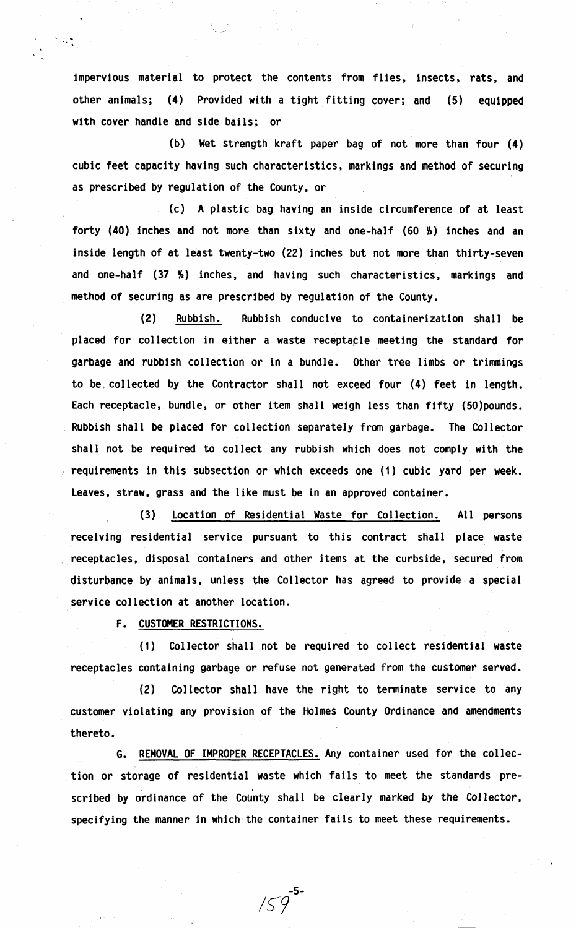impervious material to protect the contents from flies, insects, rats, and other animals; (4) Provided with a tight fitting cover; and (5) equipped **with** cover handle and side bails; or

(b) Wet strength kraft paper bag of not more than four ( **4)**  cubic feet capacity having such characteristics, markings and method of securing as prescribed by regulation of the County, or

(c) A plastic bag having an inside circumference of at least forty (40) inches and not more than sixty and one-half (60  $\frac{1}{2}$ ) inches and an inside length of at least twenty-two (22) inches but not more than thirty-seven and one-half  $(37 \t{h})$  inches, and having such characteristics, markings and method of securing as are prescribed by regulation of the County.

(2) **Rubbish.** Rubbish conducive to containerization shall be placed for collection in either a waste receptacle meeting the standard for garbage and rubbish collection or in a bundle. Other tree limbs or trimmings to be. collected by the Contractor shall not exceed four (4) feet in length. Each receptacle, bundle, or other item shall weigh less than fifty (SO)pounds. Rubbish shall be placed for collection separately from garbage. The Collector shall not be required to collect any rubbish which does not comply with the requirements in this subsection or which exceeds one ( 1) cubic yard per **week.**  Leaves, straw, grass and the like must be in an approved container.

(3) Location of Residential Waste for Collection. All persons receiving residential service pursuant to this contract shall place waste receptacles, disposal containers and other items at the curbside, secured from disturbance by animals, unless the Collector has agreed to provide a special service collection at another location.

F. CUSTOMER RESTRICTIONS.

NG)

(1) Collector shall not be required to collect residential **waste**  receptacles containing garbage or refuse not generated from the customer served.

(2) Collector shall have the right to terminate service to any customer violating any provision of the Holmes County Ordinance and amendments thereto.

G. REMOVAL OF IMPROPER RECEPTACLES. Any container used for the collection or storage of residential waste which fails to meet the standards prescribed by ordinance of the County shall be clearly marked by the Collector, specifying the manner in which the container fails to meet these requirements.

-5-

*1~9*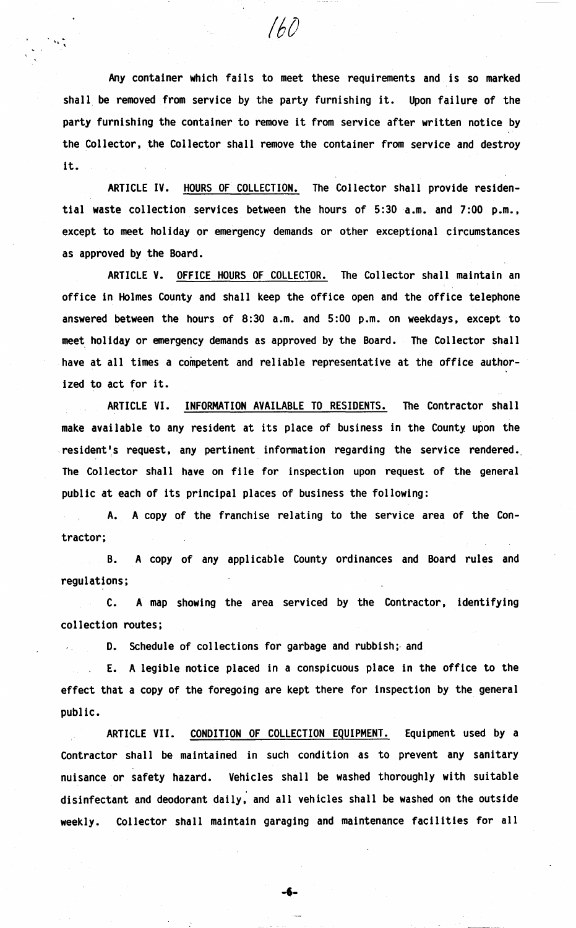Any container which fails to meet these requirements and is so marked shall be removed from service by the party furnishing it. Upon failure of the party furnishing the container to remove it from service after written notice by the Collector, the Collector shall remove the container from service and destroy it.

/6()

ARTICLE IV. HOURS OF COLLECTION. The Collector shall provide residential waste collection services between the hours of 5:30 a.m. and 7:00 p.m., except to meet holiday or emergency demands or other exceptional circumstances as approved by the Board.

ARTICLE V. OFFICE HOURS OF COLLECTOR. The Collector shall maintain an office in Holmes County and shall keep the office open and the office telephone answered between the hours of 8:30 a.m. and 5:00 p.m. on weekdays, except to meet holiday or emergency demands as approved by the Board. The Collector shall have at all times a competent and reliable representative at the office authorized to act for it.

ARTICLE VI. INFORMATION AVAILABLE TO RESIDENTS. The Contractor shall make available to any resident at its place of business in the County upon the .resident's request, any pertinent information regarding the service rendered. The Collector shall have on file for inspection upon request of the general public at each of its principal places of business the following:

**A. A** copy of the franchise relating to the service area of the Contractor;

**B. A** copy of any applicable County ordinances and Board rules and regulations;

C. **A map** showing the area serviced by the Contractor, identifying collection routes;

D. Schedule of collections for garbage and rubbish; and

E. A legible notice placed in a conspicuous place in the office to the effect that a copy of the foregoing are kept there for inspection by the general public.

ARTICLE VII. CONDITION OF COLLECTION EQUIPMENT. Equipment used by a Contractor shall be maintained in such condition as to prevent any sanitary nuisance or safety hazard. Vehicles shall be washed thoroughly with suitable disinfectant and deodorant daily, and all vehicles shall be washed on the outside weekly. Collector shall maintain garaging and maintenance facilities for all

-6-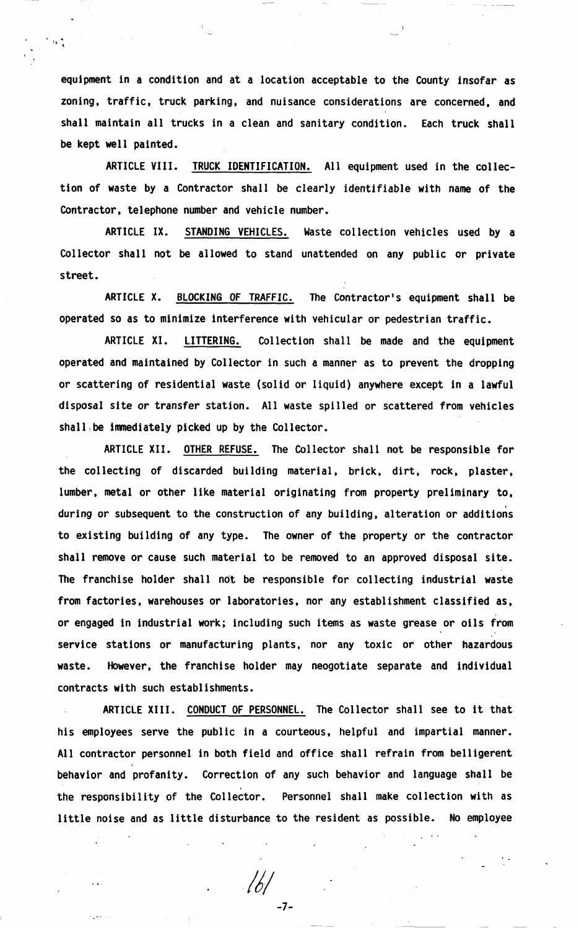equipment in a condition and at a location acceptable to the County insofar as zoning, traffic, truck parking, and nuisance considerations are concerned, and shall maintain all trucks in a clean and sanitary condition. Each truck shall be kept well painted.

 $\Delta\mathbf{r}$ 

ARTICLE VIII. TRUCK IDENTIFICATION. All equipment used in the collection of waste by a Contractor shall be clearly identifiable with name of the Contractor, telephone number and vehicle number.

ARTICLE IX. STANDING VEHICLES. Waste collection vehicles used by a Collector shall not be allowed to stand unattended on any public or private street.

ARTICLE X. BLOCKING OF TRAFFIC. The Contractor's equipment shall be operated so as to minimize interference with vehicular or pedestrian traffic.

ARTICLE XI. LITTERING. Collection shall be made and the equipment operated and maintained by Collector in such a manner as to prevent the dropping or scattering of residential waste (solid or liquid) anywhere except in a lawful disposal site or transfer station. All waste spilled or scattered from vehicles shall, be immediately picked up by the Collector.

ARTICLE **XII.** OTHER REFUSE. The Collector shall not be responsible for the collecting of discarded building material, brick, dirt, rock, plaster, lumber, metal or other like material originating from property preliminary to, during or subsequent to the construction of any building, alteration or additions to existing building of any type. The owner of the property or the contractor shall remove or cause such material to be removed to an approved disposal site. The franchise holder shall not be responsible for collecting industrial waste from factories, warehouses or laboratories, nor any establishment classified as, or engaged in industrial work; including such items as waste grease or oils from service stations or manufacturing plants, nor any toxic or other hazardous waste. However, the franchise holder may neogotiate separate and individual contracts with such establishments.

ARTICLE **XIII.** CONDUCT OF PERSONNEL. The Collector shall see to it that his employees serve the public in a courteous, helpful and impartial manner. All contractor personnel in both field and office shall refrain from belligerent behavior and profanity. Correction of any such behavior and language shall be the responsibility of the Collector. Personnel shall make collection with as little noise and as little disturbance to the resident as possible. No employee

-7-

 $161$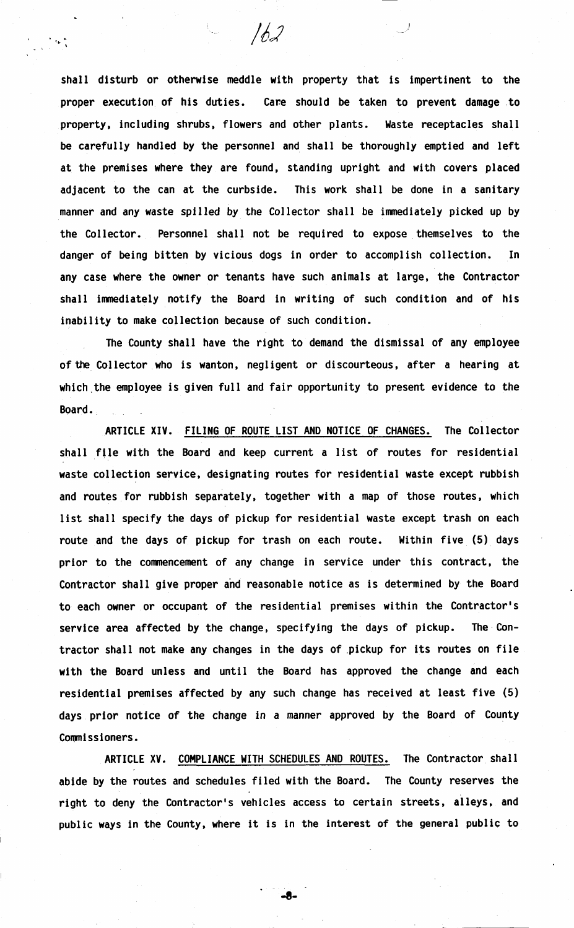shall disturb or otherwise meddle with property that is impertinent to the proper execution of his duties. Care should be taken to prevent damage to property, including shrubs, flowers and other plants. Waste receptacles shall be carefully handled by the personnel and shall be thoroughly emptied and left at the premises where they are found, standing upright and with covers placed adjacent to the can at the curbside. This work shall be done in a sanitary manner and any **waste** spilled by the Collector shall be immediately picked up by the Collector. Personnel shall not be required to expose themselves to the danger of being bitten by vicious dogs in order to accomplish collection. In any case where the owner or tenants have such animals at large, the Contractor shall immediately notify the Board in writing of such condition and of his inability to make collection because of such condition.

162

 $\mathbf{r}_{\alpha}$  .

The County shall have the right to demand the dismissal of any employee of the Collector who is wanton, negligent or discourteous, after a hearing at which the employee is given full and fair opportunity to present evidence to the Board.

ARTICLE **XIV.** FILING OF ROUTE LIST AND NOTICE OF CHANGES. The Collector shall file with the Board and keep current a list of routes for residential waste collection service, designating routes for residential waste except rubbish and routes for rubbish separately, together with a map of those routes, which list shall specify the days of pickup for residential waste except trash on each route and the days of pickup for trash on each route. Within five (5) days prior to the commencement of any change in service under this contract, the Contractor shall give proper and reasonable notice as is determined by the Board to each owner or occupant of the residential premises within the Contractor's service **area** affected by the change, specifying the days of pickup. The· Contractor shall not make any changes in the days of ,pickup for its routes on file with the Board unless and until the Board has approved the change and each residential premises affected by any such change has received at least five (5) days prior notice of the change in a manner approved by the Board of County Commissioners.

ARTICLE XV. COMPLIANCE WITH SCHEDULES AND ROUTES. The Contractor shall abide by the routes and schedules filed with the Board. The County reserves the right to deny the Contractor's vehicles access to certain streets, alleys, and public **ways** in the County, where it is in the interest of the general public to

-8-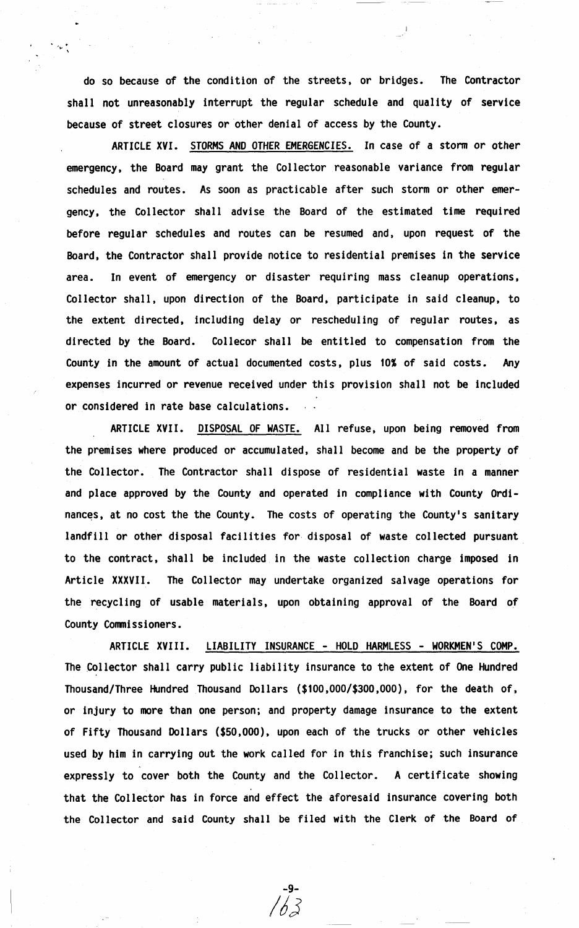do so because of the condition of the streets, or bridges. The Contractor shall not unreasonably interrupt the regular schedule and quality of service because of street closures or other denial of access by the County.

 $\mathcal{L}_{\mathbf{p}}(\mathbf{r})$ 

ARTICLE **XVI.** STORMS AND OTHER EMERGENCIES. In case of a storm or other emergency, the Board may grant the Collector reasonable variance from regular schedules and routes. As soon as practicable after such storm or other emergency. the Collector shall advise the Board of the estimated time required before regular schedules and routes can be resumed and. upon request of the Board, the Contractor shall provide notice to residential premises in the service area. In event of emergency or disaster requiring mass cleanup operations, Collector shall. upon direction of the Board, participate in said cleanup, to the extent directed, including delay or rescheduling of regular routes, as directed by the Board. Collecor shall be entitled to compensation from the County in the amount of actual documented costs. plus 10% of said costs. Any expenses incurred or revenue received under this provision shall not be included or considered in rate base calculations.

ARTICLE XVII. DISPOSAL OF WASTE. All refuse, upon being removed from the premises where produced or accumulated, shall become and be the property of the Collector. The Contractor shall dispose of residential waste in a manner and place approved by the County and operated in compliance with County Ordinances, at no cost the the County. The costs of operating the County's sanitary landfill or other disposal facilities for. disposal of waste collected pursuant to the contract, shall be included in the waste collection charge imposed in Article XXXVII. The Collector may undertake organized salvage operations for the recycling of usable materials. upon obtaining approval of the Board of County Conmissioners.

ARTICLE XVIII. LIABILITY INSURANCE - HOLD HARMLESS - WORKMEN'S COMP. The Collector shall carry public liability insurance to the extent of One Hundred Thousand/Three Hundred Thousand Dollars (\$10O,OOO/\$3OO,OOO). for the death of. or injury to more than one person; and property damage insurance to the extent of Fifty Thousand Dollars (\$50,000), upon each of the trucks or other vehicles used by him in carrying out the work called for in this franchise; such insurance expressly to cover both the County and the Collector. A certificate showing that the Collector has in force and effect the aforesaid insurance covering both the Collector and said County shall be filed with the Clerk of the Board of

-9- / *dJ*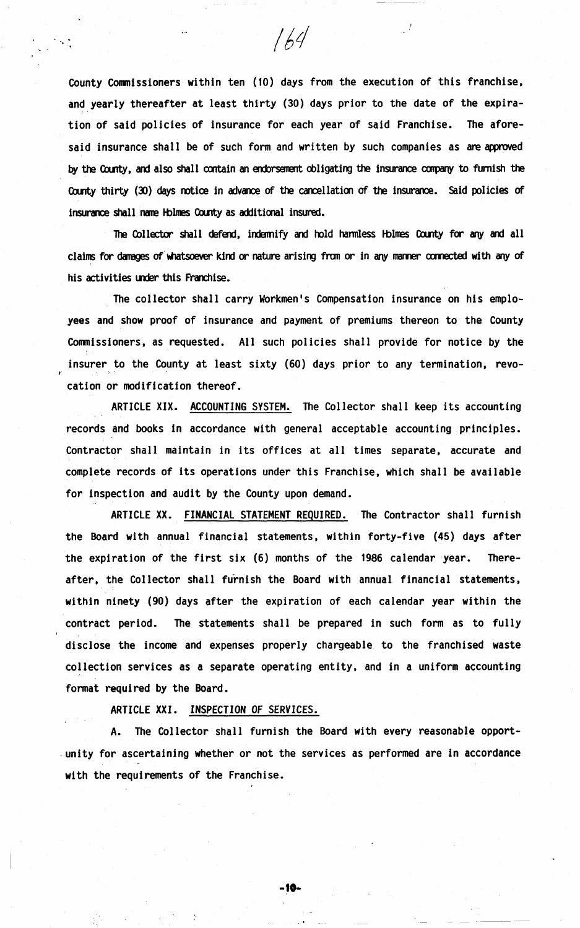County Commissioners within ten (10) days from the execution of this franchise, and yearly thereafter at least thirty (30) days prior to the date of the expiration of said policies of insurance for each year of said Franchise. The aforesaid insurance shall be of such form and written by such companies as are approved by the County, and also shall contain an endorsement obligating the insurance company to furnish the County thirty (30) days notice in advance of the cancellation of the insurance. Said policies of insurance shall name Holmes County as additional insured.

 $164$ 

The Collector shall defend, indemify and hold harmless Holmes County for any and all claims for damages of whatsoever kind or nature arising from or in any manner connected with any of his activities under this Franchise.

The collector shall carry Workmen's Compensation insurance on his emplo**yees** and show proof of insurance and payment of premiums thereon to the County Commissioners, as requested. All such policies shall provide for notice by the insurer to the County at least sixty (60) days prior to any termination, revocation or modification thereof.

ARTICLE **XIX.** ACCOUNTING SYSTEM. The Collector shall keep its accounting records and books in accordance with general acceptable accounting principles. Contractor shall maintain in its offices at all times separate, accurate and complete records of its operations under this Franchise, which shall be available for inspection and audit by the County upon demand.

ARTICLE XX. FINANCIAL STATEMENT REQUIRED. The Contractor shall furnish the Board with annual financial statements, within forty-five (45) days after the expiration of the first six (6) months of the 1986 calendar year. Thereafter, the Collector shall furnish the Board with annual financial statements, within ninety (90) days after the expiration of each calendar year within the contract period. The statements shall be prepared in such form as to fully disclose the income and expenses properly chargeable to the franchised waste collection services as a separate operating entity, and in a uniform accounting format required by the Board.

ARTICLE **XXI.** INSPECTION OF SERVICES.

The Collector shall furnish the Board with every reasonable opport-. unity for ascertaining whether or not the services as performed are in accordance with the requirements of the Franchise.

**-to-**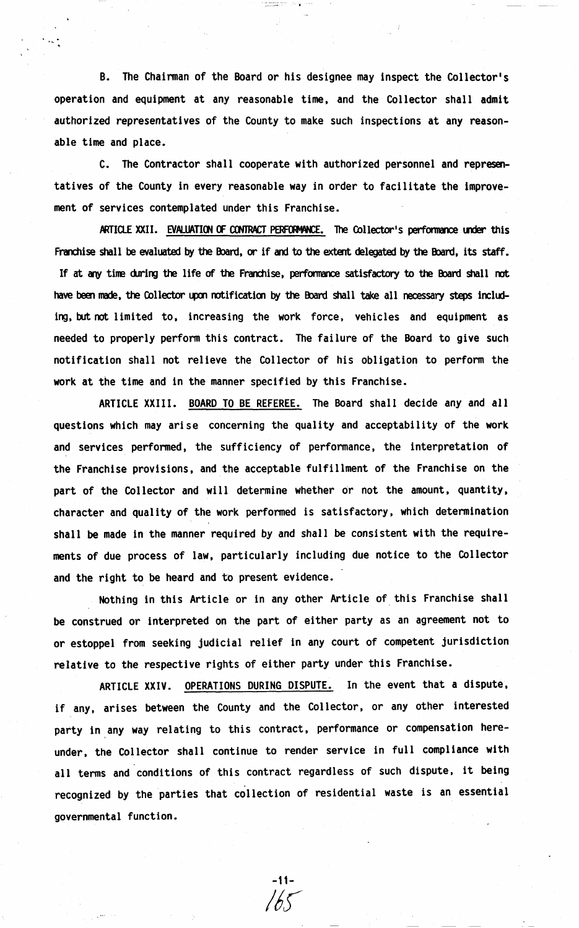B. The Chairman of the Board or his designee may inspect the Collector's operation and equipment at any reasonable time, and the Collector shall admit authorized representatives of the County to make such inspections at any reasonable time and place.

C. The Contractor shall cooperate with authorized personnel and representatives of the County in every reasonable way in order to facilitate the improvement of services contemplated under this Franchise.

ARTICLE XXII. EVALUATION OF CONTRACT PERFORMANCE. The Collector's performance under this Franchise shall be evaluated by the Board, or if and to the extent delegated by the Board, its staff. If at any time during the life of the Franchise, performance satisfactory to the Board shall not have been made, the Collector upon notification by the Board shall take all necessary steps including, but not limited to, increasing the work force, vehicles and equipment as needed to properly perform this contract. The failure of the Board to give such notification shall not relieve the Collector of his obligation to perform the work at the time and in the manner specified by this Franchise.

ARTICLE **XXIII.** BOARD TO BE REFEREE. The Board shall decide any and all questions which may arise concerning the quality and acceptability of the work and services performed, the sufficiency of performance, the interpretation of the Franchise provisions, and the acceptable fulfillment of the Franchise on the part of the Collector and will determine whether or not the amount, quantity, character and quality of the work performed is satisfactory, which determination shall be made in the manner required by and shall be consistent with the requirements of due process of **law,** particularly including due notice to the Collector and the right to be heard and to present evidence.

Nothing in this Article or in any other Article of this Franchise shall be construed or interpreted on the part of either party as an agreement not to or estoppel from seeking judicial relief in any court of competent jurisdiction relative to the respective rights of either party under this Franchise.

ARTICLE **XXIV.** OPERATIONS DURING DISPUTE. In the event that a dispute, if any, arises between the County and the Collector, or any other interested party in any way relating to this contract, performance or compensation hereunder, the Collector shall continue to render service in full compliance with all terms and conditions of this contract regardless of such dispute, it being recognized by the parties that collection of residential waste is an essential governmental function.

-11-

 $165$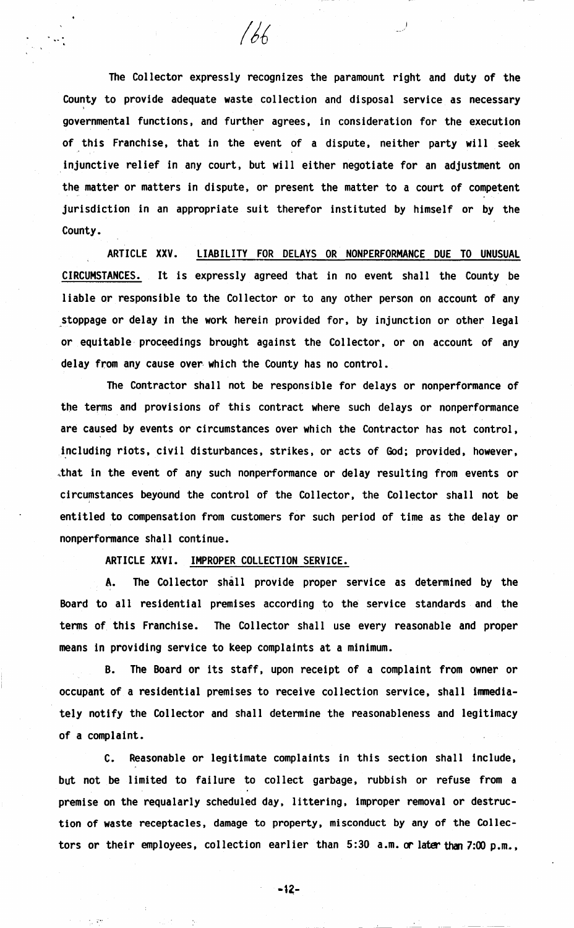The Collector expressly recognizes the paramount right and duty of the County to provide adequate waste collection and disposal service as necessary ' governmental functions, and further agrees, in consideration for the execution of this Franchise, that in the event of a dispute, neither party will seek injunctive relief in any court, but will either negotiate for an adjustment on the matter or matters in dispute, or present the matter to a court of competent jurisdiction in an appropriate suit therefor instituted by himself or by the County.

 $166$ 

ARTICLE XXV. LIABILITY FOR DELAYS OR NONPERFORMANCE DUE TO UNUSUAL CIRCUMSTANCES. It is expressly agreed that in no event shall the County be liable or responsible to the Collector or to any other person on account of any stoppage or delay in the work herein provided for, by injunction or other legal or equitable proceedings brought against the Collector, or on account of any delay from any cause over- which the County has no control.

The Contractor shall not be responsible for delays or nonperformance of the terms and provisions of this contract where such delays or nonperformance are caused by events or circumstances over which the Contractor has not control, including riots, civil disturbances, strikes, or acts of God; provided, however, ,that in the event of any such nonperformance or delay resulting from events or circumstances beyound the control of the Collector, the Collector shall not be entitled to compensation from customers for such period of time as the delay or nonperformance shall continue.

ARTICLE **XXVI.** IMPROPER COLLECTION SERVICE.

A. The Collector shall provide proper service as determined by the Board to all residential premises according to the service standards and the terms of this Franchise. The Collector shall use every reasonable and proper means in providing service to keep complaints at a minimum.

B. The Board or its staff, upon receipt of a complaint from owner or occupant of a residential premises to receive collection service, shall inmediately notify the Collector and shall determine the reasonableness and legitimacy of a complaint.

c. Reasonable or legitimate complaints in this section shall include, but not be limited to failure to collect garbage, rubbish or refuse from a premise on the requalarly scheduled day, littering, improper removal or destruction of **waste** receptacles, damage to property, misconduct by any of the Collectors or their employees, collection earlier than  $5:30$  a.m. or later than 7:00 p.m.,

 $-12-$ 

 $\mathcal{D}$   $\mathcal{D}$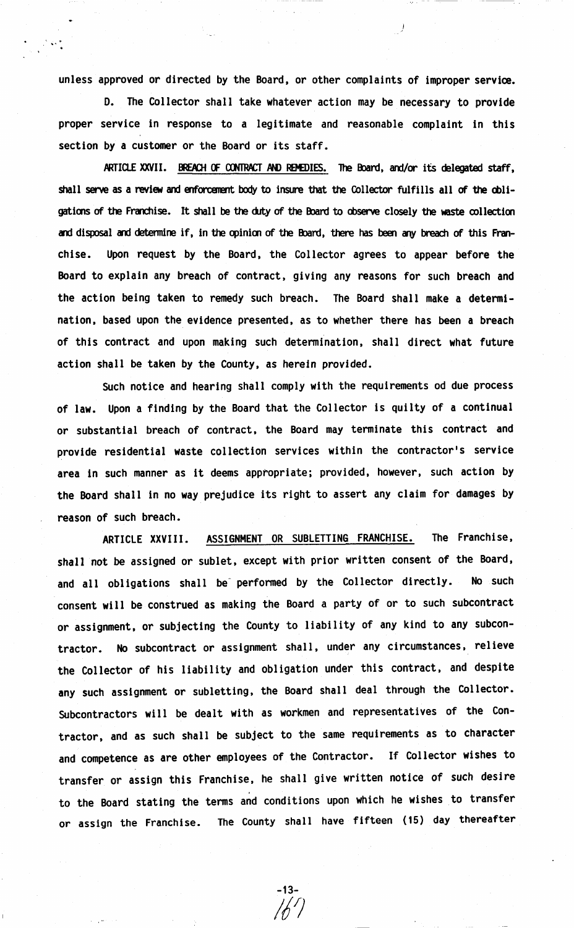unless approved or directed by the Board, or other complaints of improper service.

 $\mathbb{R}^{2}$  is the set of  $\mathbb{R}^{2}$ 

*)* 

D. The Collector shall take whatever action may be necessary to provide proper service in response to a legitimate and reasonable complaint in this section by a customer or the Board or its staff.

ARTICLE XXVII. BREACH OF CONTRACT AND REMEDIES. The Board, and/or its delegated staff, shall serve as a review and enforcement body to insure that the Collector fulfills all of the obligations of the Franchise. It shall be the duty of the Board to observe closely the waste collection and disposal and determine if, in the opinion of the Board, there has been any breach of this Franchise. Upon request by the Board, the Collector agrees to appear before the Board to explain any breach of contract, giving any reasons for such breach and the action being taken to remedy such breach. The Board shall make a determination, based upon the evidence presented, as to whether there has been a breach of this contract and upon making such determination, shall direct what future action shall be taken by the County, as herein provided.

Such notice and hearing shall comply with the requirements od due process of **law.** Upon a finding by the Board that the Collector is quilty of a continual or substantial breach of contract, the Board may terminate this contract and provide residential waste collection services within the contractor's service area in such manner as it deems appropriate; provided, however, such action by the Board shall in no way prejudice its right to assert any claim for damages by reason of such breach.

ARTICLE **XXVIII.** ASSIGNMENT OR SUBLETTING FRANCHISE. The Franchise, shall not be assigned or sublet, except with prior written consent of the Board, and all obligations shall be performed by the Collector directly. No such consent will be construed as making the Board a party of or to such subcontract or assignment, or subjecting the County to liability of any kind to any subcontractor. No subcontract or assignment shall, under any circumstances, relieve the Collector of his liability and obligation under this contract, and despite any such assignment or subletting, the Board shall deal through the Collector. Subcontractors will be dealt with as workmen and representatives of the Contractor, and as such shall be subject to the same requirements as to character and competence as are other employees of the Contractor. If Collector wishes to transfer or assign this Franchise, he shall give written notice of such desire to the Board stating the terms and conditions upon which he wishes to transfer or assign the Franchise. The County shall have fifteen (15) day thereafter

-13- *111*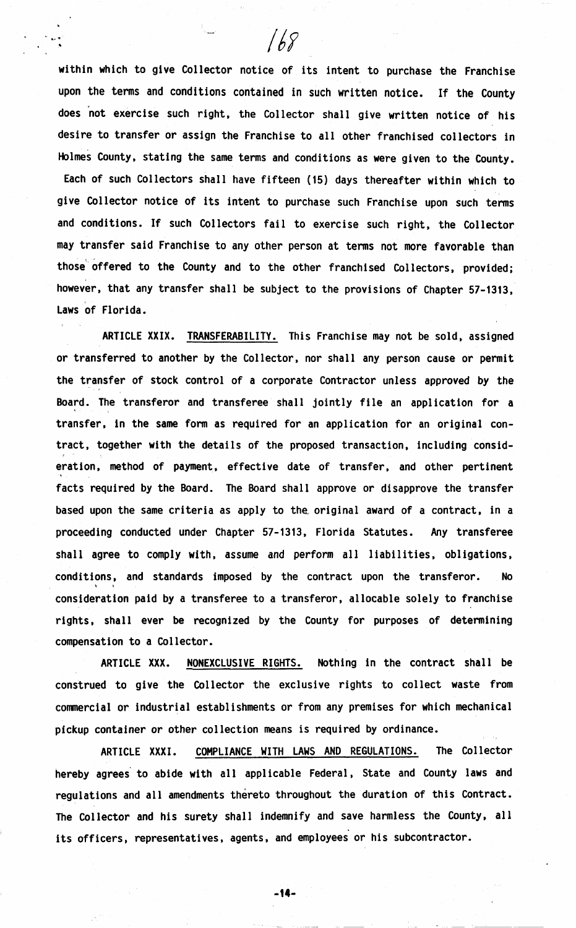within which to give Collector notice of its intent to purchase the Franchise upon the terms and conditions contained in such written notice. If the County does not exercise such right, the Collector shall give written notice of his desire to transfer or assign the Franchise to all other franchised collectors in Holmes County, stating the same terms and conditions as were given to the County. Each of such Collectors shall have fifteen (15) days thereafter within which to give Collector notice of its intent to purchase such Franchise upon such terms and conditions. If such Collectors fail to exercise such right, the Collector may transfer said Franchise to any other person at terms not more favorable than those offered to the County and to the other franchised Collectors, provided; however, that any transfer shall be subject to the provisions of Chapter 57-1313, Laws of Florida.

 $168$ 

ARTICLE **XXIX.** TRANSFERABILITY. This Franchise may not be sold, assigned or transferred to another by the Collector, nor shall any person cause or permit the transfer of stock control of a corporate Contractor unless approved by the Board. The transferor and transferee shall jointly file an application for a transfer, in the same form as required for an application for an original contract, together with the details of the proposed transaction, including consideration, method of payment, effective date of transfer. and other pertinent facts required by the Board. The Board shall approve or disapprove the transfer based upon the same criteria as apply to the. original award of a contract, in a proceeding conducted under Chapter 57-1313, Florida Statutes. Any transferee shall agree to comply with, assume and perform all liabilities, obligations. conditions, and standards imposed by the contract upon the transferor. No consideration paid by a transferee to a transferor, allocable solely to franchise rights, shall ever be recognized by the County for purposes of determining compensation to a Collector.

ARTICLE **XXX.** NONEXCLUSIVE RIGHTS. Nothing in the contract shall be construed to give the Collector the exclusive rights to collect waste from comercial or industrial establishments or from any premises for which mechanical pickup container or other collection means is required by ordinance.

ARTICLE XXXI. COMPLIANCE WITH LAWS AND REGULATIONS. The Collector hereby agrees to abide with all applicable Federal, State and County laws and regulations and all amendments thereto throughout the duration of this Contract. The Collector and his surety shall indemnify and save harmless the County, all its officers, representatives, agents, and employees or his subcontractor.

**-14-**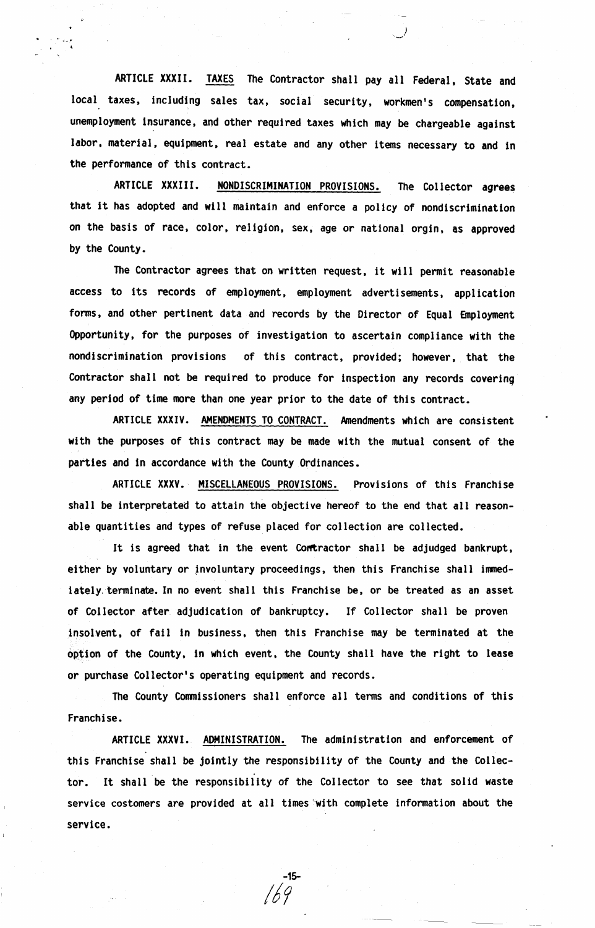ARTICLE **XXXII.** TAXES The Contractor shall pay all Federal, State and local taxes, including sales tax, social security, workmen's compensation, unemployment insurance, and other required taxes which may be chargeable against labor, material, equipment, real estate and any other items necessary to and in the performance of this contract.

ARTICLE **XXXII** I. NONDISCRIMINATION PROVISIONS. The Collector **agrees**  that it has adopted and will maintain and enforce a policy of nondiscrimination on the basis of race, color, religion, sex, age or national orgin, as approved by the County.

The Contractor agrees that on written request, it will permit reasonable access to its records of employment, employment advertisements, application forms, and other pertinent data and records by the Director of Equal Employment Opportunity, for the purposes of investigation to ascertain compliance with the nondiscrimination provisions of this contract, provided; however, that the Contractor shall not be required to produce for inspection any records covering any period of time more than one year prior to the date of this contract.

ARTICLE **XXXIV.** AMENDMENTS TO CONTRACT. Amendments which are consistent with the purposes of this contract may be made with the mutual consent of the parties and in accordance with the County Ordinances.

ARTICLE **XXXV.** MISCELLANEOUS PROVISIONS. Provisions of this Franchise shall be interpretated to attain the objective hereof to the end that all reasonable quantities and types of refuse placed for collection are collected.

It is agreed that in the event Contractor shall be adjudged bankrupt, either by voluntary or involuntary proceedings, then this Franchise shall immediately terminate. In no event shall this Franchise be, or be treated as an asset of Collector after adjudication of bankruptcy. If Collector shall be proven insolvent, of fail in business, then this Franchise may be terminated at the option of the County, in which event, the County shall have the right to **lease**  or purchase Collector's operating equipment and records.

The County Commissioners shall enforce all terms and conditions of this Franchise.

ARTICLE **XXXVI.** ADMINISTRATION. The administration and enforcement of this Franchise shall be jointly the responsibility of the County and the Collector. It shall be the responsibility of the Collector to see that solid waste service costomers are provided at all times 'with complete information about the service.

-15 *l i* 9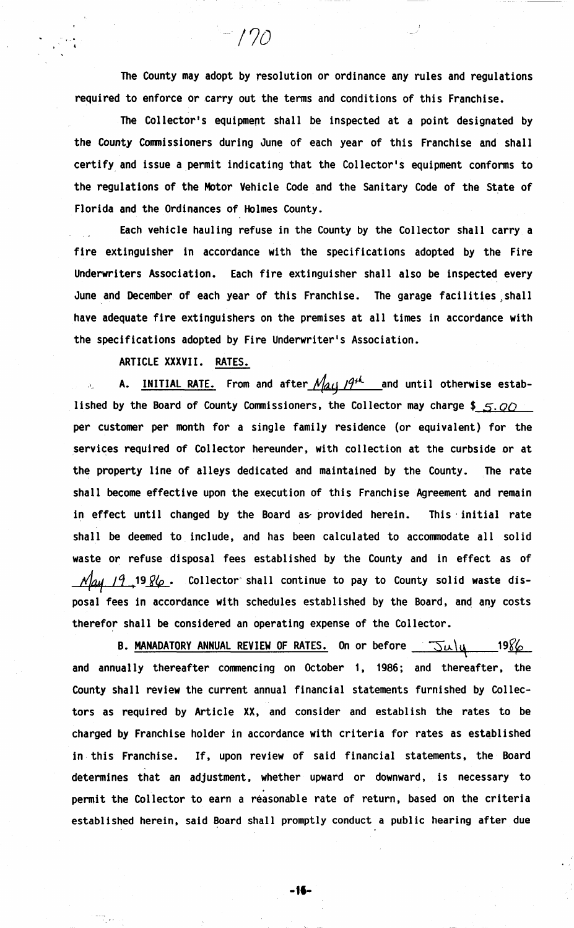The County may adopt by resolution or ordinance any rules and regulations required to enforce or carry out the terms and conditions of this Franchise.

 $-170$ 

The Collector's equipment shall be inspected at a point designated by the County Conmissioners during June of each year of this Franchise and shall certify and issue a permit indicating that the Collector's equipment conforms to the regulations of the Motor Vehicle Code and the Sanitary Code of the State of Florida and the Ordinances of Holmes County.

Each vehicle hauling refuse in the County by the Collector shall carry a fire extinguisher in accordance with the specifications adopted by the Fire Underwriters Association. Each fire extinguisher shall also be inspected every June and December of each year of this Franchise. The garage facilities shall have adequate fire extinguishers on the premises at all times in accordance with the specifications adopted by Fire Underwriter's Association.

ARTICLE **XXXVII.** RATES.

A. INITIAL RATE. From and after  $\mathcal{N}_{\mathcal{A},\mathcal{L}}$  /9<sup>+4</sup> and until otherwise established by the Board of County Commissioners, the Collector may charge \$  $5.00$ per customer per month for a single family residence {or equivalent) for the services required of Collector hereunder, with collection at the curbside or at the property line of alleys dedicated and maintained by the County. The rate shall become effective upon the execution of this Franchise Agreement and remain in effect until changed by the Board as provided herein. This initial rate shall be deemed to include, and has been calculated to acconmodate all solid waste or refuse disposal fees established by the County and in effect as of ~ /CJ <sup>1</sup> 19.i(e\_. Collector- shall continue to pay to County solid **waste** disposal fees in accordance with schedules established by the Board, and any costs therefor shall be considered an operating expense of the Collector.

**B. MANADATORY ANNUAL REVIEW OF RATES.** On or before  $\overline{-5\mu}|_{\mathcal{U}}$  19 $\frac{\sqrt{6}}{6}$ and annually thereafter commencing on October 1, 1986; and thereafter, the County shall review the current annual financial statements furnished by Collectors as required by Article XX, and consider and establish the rates to be charged by Franchise holder in accordance with criteria for rates as established in this Franchise. If, upon review of said financial statements, the Board determines that an adjustment, whether upward or downward, is necessary to permit the Collector to earn a reasonable rate of return, based on the criteria established herein, said Board shall promptly conduct a public hearing after due

**-11-**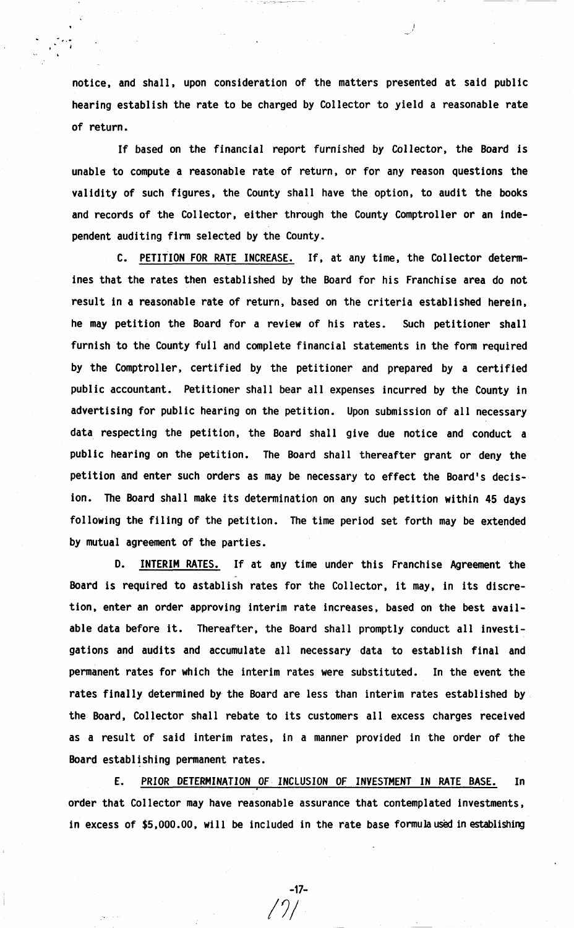notice, and shall, upon consideration of the matters presented at said public hearing establish the rate to be charged by Collector to yield a reasonable rate of return.

, .. ţ.

> If based on the financial report furnished by Collector, the Board is unable to compute a reasonable rate of return, or for any reason questions the validity of such figures, the County shall have the option, to audit the books and records of the Collector, either through the County Comptroller or an independent auditing firm selected by the County.

> C. PETITION FOR RATE INCREASE. If, at any time, the Collector determines that the rates then established by the Board for his Franchise area do not result in a reasonable rate of return, based on the criteria established herein, he may petition the Board for a review of his rates. Such petitioner shall furnish to the County full and complete financial statements in the form required by the Comptroller, certified by the petitioner and prepared by a certified public accountant. Petitioner shall bear all expenses incurred by the County in advertising for public hearing on the petition. Upon submission of all necessary data respecting the petition, the Board shall give due notice and conduct a public hearing on the petition. The Board shall thereafter grant or deny the petition and enter such orders as may be necessary to effect the Board's decision. The Board shall make its determination on any such petition within 45 days following the filing of the petition. The time period set forth may be extended by mutual agreement of the parties.

> D. INTERIM RATES. If at any time under this Franchise Agreement the Board is required to astablish rates for the Collector, it may, in its discretion, enter an order approving interim rate increases, based on the best **avail**able data before it. Thereafter, the Board shall promptly conduct all investigations and audits and accumulate all necessary data to establish final and permanent rates for which the interim rates were substituted. In the event the rates finally determined by the Board are less than interim rates established by the Board. Collector shall rebate to its customers all excess charges received as a result of said interim rates, in a manner provided in the order of the Board establishing permanent rates.

> **E. PRIOR DETERMINATION** OF INCLUSION OF **INVESTMENT IN RATE BASE.** In order that Collector may have reasonable assurance that contemplated investments. in excess of  $$5,000.00$ , will be included in the rate base formula used in establishing

> > -17-

 $/ \gamma /$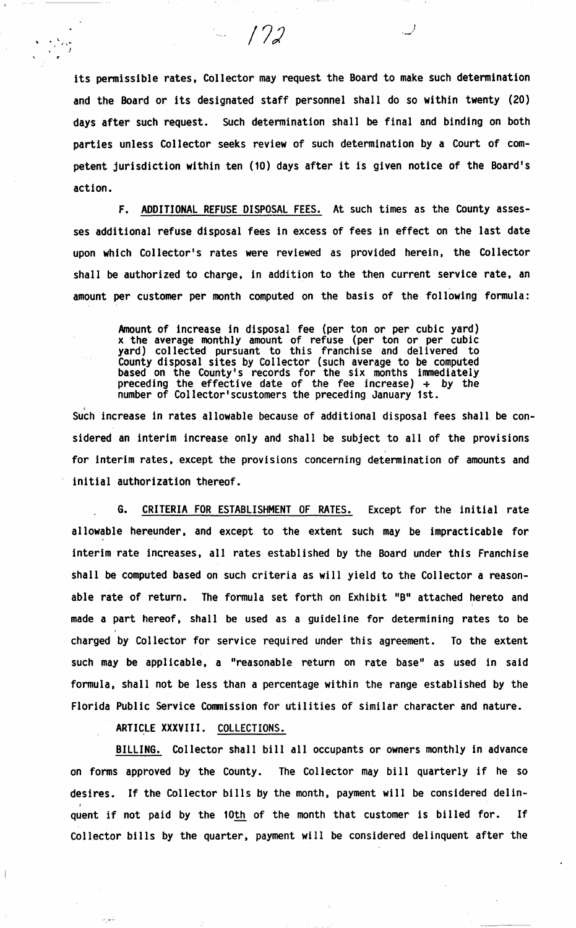its permissible rates, Collector may request the Board to make such determination and the Board or its designated staff personnel shall do so within twenty (20) days after such request. Such determination shall be final and binding on both parties unless Collector seeks review of such determination by a Court of competent jurisdiction within ten (10) days after it is given notice of the Board's action.

*/72* 

F. ADDITIONAL REFUSE DISPOSAL FEES. At such times as the County assesses additional refuse disposal fees in excess of fees in effect on the last date upon which Collector's rates were reviewed as provided herein, the Collector shall be authorized to charge, in addition to the then current service rate, an amount per customer per month computed on the basis of the following formula:

Amount of increase in disposal fee (per ton or per cubic yard) x the average monthly amount of refuse (per ton or per cubic yard} collected pursuant to this franchise and delivered to County disposal sites by Collector (such average to be computed based on the County's records for the six months immediately preceding the effective date of the fee increase)  $\div$  by the number of Collector'scustomers the preceding January 1st.

Such increase in rates allowable because of additional disposal fees shall be considered an interim increase only and shall be subject to all of the provisions for interim rates, except the provisions concerning determination of amounts and initial authorization thereof.

G. CRITERIA FOR ESTABLISHMENT OF RATES. Except for the initial rate allowable hereunder, and except to the extent such may be impracticable for interim rate increases, all rates established by the Board under this Franchise shall be computed based on such criteria as will yield to the Collector a reasonable rate of return. The formula set forth on Exhibit "B" attached hereto and made a part hereof, shall be used as a guideline for determining rates to be charged by Collector for service required under this agreement. To the extent such may be applicable, a "reasonable return on rate base" as used in said formula, shall not be less than a percentage within the range established by the Florida Public Service Conmission for utilities of similar character and nature.

ARTICLE **XXXVIII.** COLLECTIONS.

BILLING. Collector shall bill all occupants or owners monthly in advance on forms approved by the County. The Collector may bill quarterly if he so desires. If the Collector bills by the month, payment will be considered delinquent if not paid by the 10th of the month that customer is billed for. If Collector bills by the quarter, payment will be considered delinquent after the